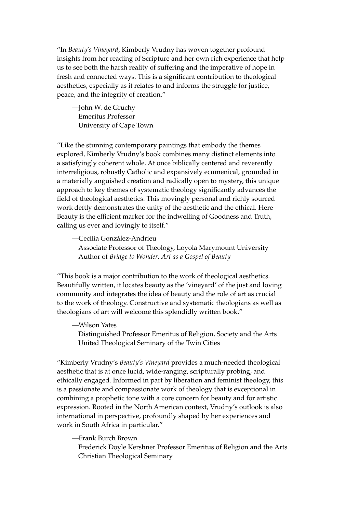"In *Beauty's Vineyard*, Kimberly Vrudny has woven together profound insights from her reading of Scripture and her own rich experience that help us to see both the harsh reality of suffering and the imperative of hope in fresh and connected ways. This is a significant contribution to theological aesthetics, especially as it relates to and informs the struggle for justice, peace, and the integrity of creation."

—John W. de Gruchy Emeritus Professor University of Cape Town

"Like the stunning contemporary paintings that embody the themes explored, Kimberly Vrudny's book combines many distinct elements into a satisfyingly coherent whole. At once biblically centered and reverently interreligious, robustly Catholic and expansively ecumenical, grounded in a materially anguished creation and radically open to mystery, this unique approach to key themes of systematic theology significantly advances the field of theological aesthetics. This movingly personal and richly sourced work deftly demonstrates the unity of the aesthetic and the ethical. Here Beauty is the efficient marker for the indwelling of Goodness and Truth, calling us ever and lovingly to itself."

—Cecilia González-Andrieu Associate Professor of Theology, Loyola Marymount University Author of *Bridge to Wonder: Art as a Gospel of Beauty*

"This book is a major contribution to the work of theological aesthetics. Beautifully written, it locates beauty as the 'vineyard' of the just and loving community and integrates the idea of beauty and the role of art as crucial to the work of theology. Constructive and systematic theologians as well as theologians of art will welcome this splendidly written book."

—Wilson Yates Distinguished Professor Emeritus of Religion, Society and the Arts United Theological Seminary of the Twin Cities

"Kimberly Vrudny's *Beauty's Vineyard* provides a much-needed theological aesthetic that is at once lucid, wide-ranging, scripturally probing, and ethically engaged. Informed in part by liberation and feminist theology, this is a passionate and compassionate work of theology that is exceptional in combining a prophetic tone with a core concern for beauty and for artistic expression. Rooted in the North American context, Vrudny's outlook is also international in perspective, profoundly shaped by her experiences and work in South Africa in particular."

—Frank Burch Brown

Frederick Doyle Kershner Professor Emeritus of Religion and the Arts Christian Theological Seminary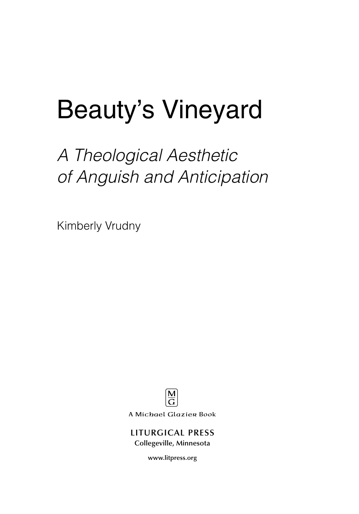# Beauty's Vineyard

# *A Theological Aesthetic of Anguish and Anticipation*

Kimberly Vrudny



A Michael Glazier Book

**LITURGICAL PRESS Collegeville, Minnesota**

**www.litpress.org**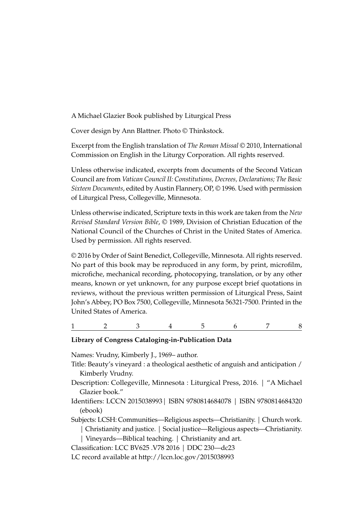A Michael Glazier Book published by Liturgical Press

Cover design by Ann Blattner. Photo © Thinkstock.

Excerpt from the English translation of *The Roman Missal* © 2010, International Commission on English in the Liturgy Corporation. All rights reserved.

Unless otherwise indicated, excerpts from documents of the Second Vatican Council are from *Vatican Council II: Constitutions, Decrees, Declarations; The Basic Sixteen Documents*, edited by Austin Flannery, OP, © 1996. Used with permission of Liturgical Press, Collegeville, Minnesota.

Unless otherwise indicated, Scripture texts in this work are taken from the *New Revised Standard Version Bible*, © 1989, Division of Christian Education of the National Council of the Churches of Christ in the United States of America. Used by permission. All rights reserved.

© 2016 by Order of Saint Benedict, Collegeville, Minnesota. All rights reserved. No part of this book may be reproduced in any form, by print, microfilm, microfiche, mechanical recording, photocopying, translation, or by any other means, known or yet unknown, for any purpose except brief quotations in reviews, without the previous written permission of Liturgical Press, Saint John's Abbey, PO Box 7500, Collegeville, Minnesota 56321-7500. Printed in the United States of America.

1 2 3 4 5 6 7 8

#### **Library of Congress Cataloging-in-Publication Data**

Names: Vrudny, Kimberly J., 1969– author.

- Title: Beauty's vineyard : a theological aesthetic of anguish and anticipation / Kimberly Vrudny.
- Description: Collegeville, Minnesota : Liturgical Press, 2016. | "A Michael Glazier book."

Identifiers: LCCN 2015038993| ISBN 9780814684078 | ISBN 9780814684320 (ebook)

Subjects: LCSH: Communities—Religious aspects—Christianity. | Church work.

| Christianity and justice. | Social justice—Religious aspects—Christianity.

| Vineyards—Biblical teaching. | Christianity and art.

Classification: LCC BV625 .V78 2016 | DDC 230—dc23

LC record available at http://lccn.loc.gov/2015038993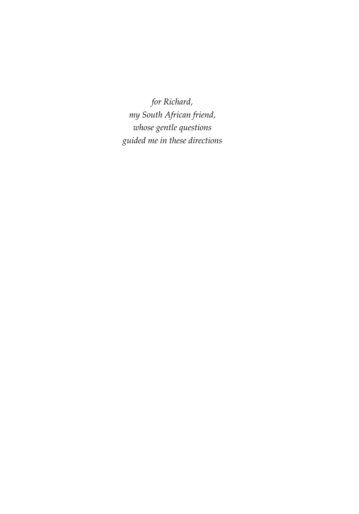*for Richard, my South African friend, whose gentle questions guided me in these directions*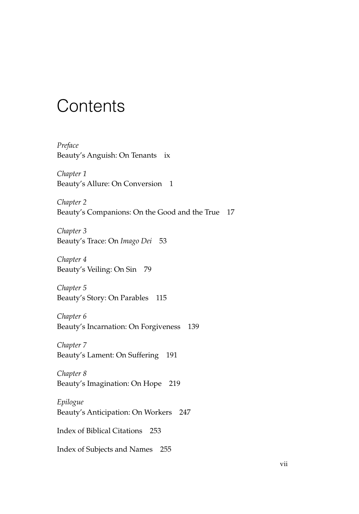### **Contents**

*Preface* Beauty's Anguish: On Tenants ix

*Chapter 1* Beauty's Allure: On Conversion 1

*Chapter 2* Beauty's Companions: On the Good and the True 17

*Chapter 3* Beauty's Trace: On *Imago Dei* 53

*Chapter 4* Beauty's Veiling: On Sin 79

*Chapter 5* Beauty's Story: On Parables 115

*Chapter 6* Beauty's Incarnation: On Forgiveness 139

*Chapter 7* Beauty's Lament: On Suffering 191

*Chapter 8* Beauty's Imagination: On Hope 219

*Epilogue* Beauty's Anticipation: On Workers 247

Index of Biblical Citations 253

Index of Subjects and Names 255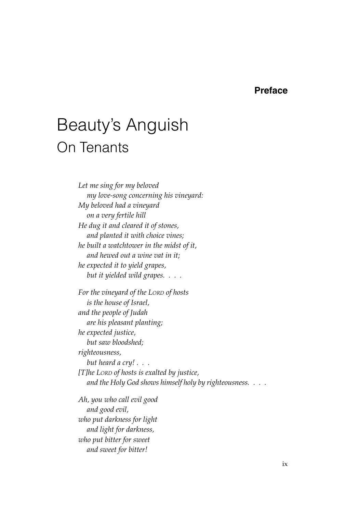#### **Preface**

## Beauty's Anguish On Tenants

*Let me sing for my beloved my love-song concerning his vineyard: My beloved had a vineyard on a very fertile hill He dug it and cleared it of stones, and planted it with choice vines; he built a watchtower in the midst of it, and hewed out a wine vat in it; he expected it to yield grapes, but it yielded wild grapes. . . .*

For the vineyard of the LORD of hosts *is the house of Israel, and the people of Judah are his pleasant planting; he expected justice, but saw bloodshed; righteousness, but heard a cry! . . . [T]he Lord of hosts is exalted by justice, and the Holy God shows himself holy by righteousness. . . .*

*Ah, you who call evil good and good evil, who put darkness for light and light for darkness, who put bitter for sweet and sweet for bitter!*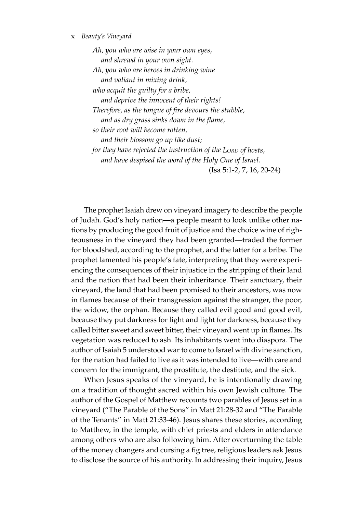#### x *Beauty's Vineyard*

*Ah, you who are wise in your own eyes, and shrewd in your own sight. Ah, you who are heroes in drinking wine and valiant in mixing drink, who acquit the guilty for a bribe, and deprive the innocent of their rights! Therefore, as the tongue of fire devours the stubble, and as dry grass sinks down in the flame, so their root will become rotten, and their blossom go up like dust; for they have rejected the instruction of the LORD of hosts, and have despised the word of the Holy One of Israel.* (Isa 5:1-2, 7, 16, 20-24)

The prophet Isaiah drew on vineyard imagery to describe the people of Judah. God's holy nation—a people meant to look unlike other nations by producing the good fruit of justice and the choice wine of righteousness in the vineyard they had been granted—traded the former for bloodshed, according to the prophet, and the latter for a bribe. The prophet lamented his people's fate, interpreting that they were experiencing the consequences of their injustice in the stripping of their land and the nation that had been their inheritance. Their sanctuary, their vineyard, the land that had been promised to their ancestors, was now in flames because of their transgression against the stranger, the poor, the widow, the orphan. Because they called evil good and good evil, because they put darkness for light and light for darkness, because they called bitter sweet and sweet bitter, their vineyard went up in flames. Its vegetation was reduced to ash. Its inhabitants went into diaspora. The author of Isaiah 5 understood war to come to Israel with divine sanction, for the nation had failed to live as it was intended to live—with care and concern for the immigrant, the prostitute, the destitute, and the sick.

When Jesus speaks of the vineyard, he is intentionally drawing on a tradition of thought sacred within his own Jewish culture. The author of the Gospel of Matthew recounts two parables of Jesus set in a vineyard ("The Parable of the Sons" in Matt 21:28-32 and "The Parable of the Tenants" in Matt 21:33-46). Jesus shares these stories, according to Matthew, in the temple, with chief priests and elders in attendance among others who are also following him. After overturning the table of the money changers and cursing a fig tree, religious leaders ask Jesus to disclose the source of his authority. In addressing their inquiry, Jesus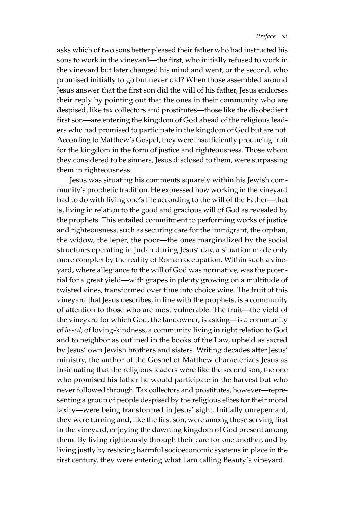asks which of two sons better pleased their father who had instructed his sons to work in the vineyard—the first, who initially refused to work in the vineyard but later changed his mind and went, or the second, who promised initially to go but never did? When those assembled around Jesus answer that the first son did the will of his father, Jesus endorses their reply by pointing out that the ones in their community who are despised, like tax collectors and prostitutes—those like the disobedient first son—are entering the kingdom of God ahead of the religious leaders who had promised to participate in the kingdom of God but are not. According to Matthew's Gospel, they were insufficiently producing fruit for the kingdom in the form of justice and righteousness. Those whom they considered to be sinners, Jesus disclosed to them, were surpassing them in righteousness.

Jesus was situating his comments squarely within his Jewish community's prophetic tradition. He expressed how working in the vineyard had to do with living one's life according to the will of the Father—that is, living in relation to the good and gracious will of God as revealed by the prophets. This entailed commitment to performing works of justice and righteousness, such as securing care for the immigrant, the orphan, the widow, the leper, the poor—the ones marginalized by the social structures operating in Judah during Jesus' day, a situation made only more complex by the reality of Roman occupation. Within such a vineyard, where allegiance to the will of God was normative, was the potential for a great yield—with grapes in plenty growing on a multitude of twisted vines, transformed over time into choice wine. The fruit of this vineyard that Jesus describes, in line with the prophets, is a community of attention to those who are most vulnerable. The fruit—the yield of the vineyard for which God, the landowner, is asking—is a community of *hesed*, of loving-kindness, a community living in right relation to God and to neighbor as outlined in the books of the Law, upheld as sacred by Jesus' own Jewish brothers and sisters. Writing decades after Jesus' ministry, the author of the Gospel of Matthew characterizes Jesus as insinuating that the religious leaders were like the second son, the one who promised his father he would participate in the harvest but who never followed through. Tax collectors and prostitutes, however—representing a group of people despised by the religious elites for their moral laxity—were being transformed in Jesus' sight. Initially unrepentant, they were turning and, like the first son, were among those serving first in the vineyard, enjoying the dawning kingdom of God present among them. By living righteously through their care for one another, and by living justly by resisting harmful socioeconomic systems in place in the first century, they were entering what I am calling Beauty's vineyard.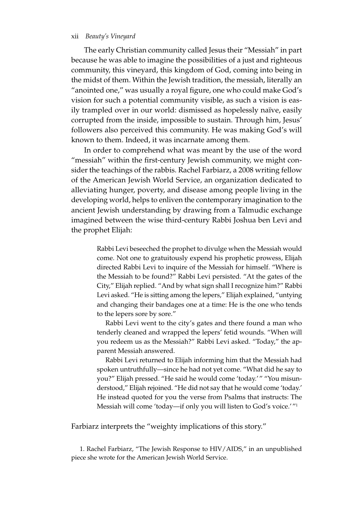#### xii *Beauty's Vineyard*

The early Christian community called Jesus their "Messiah" in part because he was able to imagine the possibilities of a just and righteous community, this vineyard, this kingdom of God, coming into being in the midst of them. Within the Jewish tradition, the messiah, literally an "anointed one," was usually a royal figure, one who could make God's vision for such a potential community visible, as such a vision is easily trampled over in our world: dismissed as hopelessly naïve, easily corrupted from the inside, impossible to sustain. Through him, Jesus' followers also perceived this community. He was making God's will known to them. Indeed, it was incarnate among them.

In order to comprehend what was meant by the use of the word "messiah" within the first-century Jewish community, we might consider the teachings of the rabbis. Rachel Farbiarz, a 2008 writing fellow of the American Jewish World Service, an organization dedicated to alleviating hunger, poverty, and disease among people living in the developing world, helps to enliven the contemporary imagination to the ancient Jewish understanding by drawing from a Talmudic exchange imagined between the wise third-century Rabbi Joshua ben Levi and the prophet Elijah:

> Rabbi Levi beseeched the prophet to divulge when the Messiah would come. Not one to gratuitously expend his prophetic prowess, Elijah directed Rabbi Levi to inquire of the Messiah for himself. "Where is the Messiah to be found?" Rabbi Levi persisted. "At the gates of the City," Elijah replied. "And by what sign shall I recognize him?" Rabbi Levi asked. "He is sitting among the lepers," Elijah explained, "untying and changing their bandages one at a time: He is the one who tends to the lepers sore by sore."

> Rabbi Levi went to the city's gates and there found a man who tenderly cleaned and wrapped the lepers' fetid wounds. "When will you redeem us as the Messiah?" Rabbi Levi asked. "Today," the apparent Messiah answered.

> Rabbi Levi returned to Elijah informing him that the Messiah had spoken untruthfully—since he had not yet come. "What did he say to you?" Elijah pressed. "He said he would come 'today.'" "You misunderstood," Elijah rejoined. "He did not say that he would come 'today.' He instead quoted for you the verse from Psalms that instructs: The Messiah will come 'today—if only you will listen to God's voice.'"1

Farbiarz interprets the "weighty implications of this story."

1. Rachel Farbiarz, "The Jewish Response to HIV/AIDS," in an unpublished piece she wrote for the American Jewish World Service.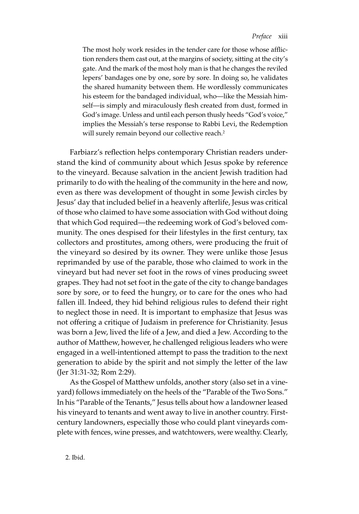The most holy work resides in the tender care for those whose affliction renders them cast out, at the margins of society, sitting at the city's gate. And the mark of the most holy man is that he changes the reviled lepers' bandages one by one, sore by sore. In doing so, he validates the shared humanity between them. He wordlessly communicates his esteem for the bandaged individual, who—like the Messiah himself—is simply and miraculously flesh created from dust, formed in God's image. Unless and until each person thusly heeds "God's voice," implies the Messiah's terse response to Rabbi Levi, the Redemption will surely remain beyond our collective reach.<sup>2</sup>

Farbiarz's reflection helps contemporary Christian readers understand the kind of community about which Jesus spoke by reference to the vineyard. Because salvation in the ancient Jewish tradition had primarily to do with the healing of the community in the here and now, even as there was development of thought in some Jewish circles by Jesus' day that included belief in a heavenly afterlife, Jesus was critical of those who claimed to have some association with God without doing that which God required—the redeeming work of God's beloved community. The ones despised for their lifestyles in the first century, tax collectors and prostitutes, among others, were producing the fruit of the vineyard so desired by its owner. They were unlike those Jesus reprimanded by use of the parable, those who claimed to work in the vineyard but had never set foot in the rows of vines producing sweet grapes. They had not set foot in the gate of the city to change bandages sore by sore, or to feed the hungry, or to care for the ones who had fallen ill. Indeed, they hid behind religious rules to defend their right to neglect those in need. It is important to emphasize that Jesus was not offering a critique of Judaism in preference for Christianity. Jesus was born a Jew, lived the life of a Jew, and died a Jew. According to the author of Matthew, however, he challenged religious leaders who were engaged in a well-intentioned attempt to pass the tradition to the next generation to abide by the spirit and not simply the letter of the law (Jer 31:31-32; Rom 2:29).

As the Gospel of Matthew unfolds, another story (also set in a vineyard) follows immediately on the heels of the "Parable of the Two Sons." In his "Parable of the Tenants," Jesus tells about how a landowner leased his vineyard to tenants and went away to live in another country. Firstcentury landowners, especially those who could plant vineyards complete with fences, wine presses, and watchtowers, were wealthy. Clearly,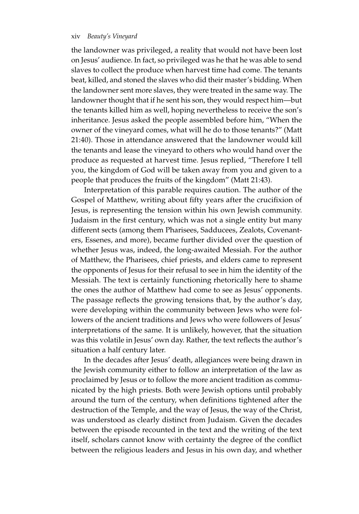#### xiv *Beauty's Vineyard*

the landowner was privileged, a reality that would not have been lost on Jesus' audience. In fact, so privileged was he that he was able to send slaves to collect the produce when harvest time had come. The tenants beat, killed, and stoned the slaves who did their master's bidding. When the landowner sent more slaves, they were treated in the same way. The landowner thought that if he sent his son, they would respect him—but the tenants killed him as well, hoping nevertheless to receive the son's inheritance. Jesus asked the people assembled before him, "When the owner of the vineyard comes, what will he do to those tenants?" (Matt 21:40). Those in attendance answered that the landowner would kill the tenants and lease the vineyard to others who would hand over the produce as requested at harvest time. Jesus replied, "Therefore I tell you, the kingdom of God will be taken away from you and given to a people that produces the fruits of the kingdom" (Matt 21:43).

Interpretation of this parable requires caution. The author of the Gospel of Matthew, writing about fifty years after the crucifixion of Jesus, is representing the tension within his own Jewish community. Judaism in the first century, which was not a single entity but many different sects (among them Pharisees, Sadducees, Zealots, Covenanters, Essenes, and more), became further divided over the question of whether Jesus was, indeed, the long-awaited Messiah. For the author of Matthew, the Pharisees, chief priests, and elders came to represent the opponents of Jesus for their refusal to see in him the identity of the Messiah. The text is certainly functioning rhetorically here to shame the ones the author of Matthew had come to see as Jesus' opponents. The passage reflects the growing tensions that, by the author's day, were developing within the community between Jews who were followers of the ancient traditions and Jews who were followers of Jesus' interpretations of the same. It is unlikely, however, that the situation was this volatile in Jesus' own day. Rather, the text reflects the author's situation a half century later.

In the decades after Jesus' death, allegiances were being drawn in the Jewish community either to follow an interpretation of the law as proclaimed by Jesus or to follow the more ancient tradition as communicated by the high priests. Both were Jewish options until probably around the turn of the century, when definitions tightened after the destruction of the Temple, and the way of Jesus, the way of the Christ, was understood as clearly distinct from Judaism. Given the decades between the episode recounted in the text and the writing of the text itself, scholars cannot know with certainty the degree of the conflict between the religious leaders and Jesus in his own day, and whether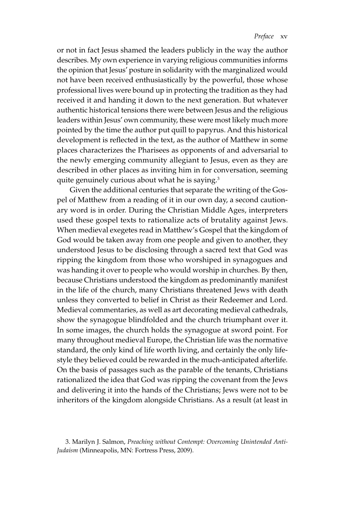or not in fact Jesus shamed the leaders publicly in the way the author describes. My own experience in varying religious communities informs the opinion that Jesus' posture in solidarity with the marginalized would not have been received enthusiastically by the powerful, those whose professional lives were bound up in protecting the tradition as they had received it and handing it down to the next generation. But whatever authentic historical tensions there were between Jesus and the religious leaders within Jesus' own community, these were most likely much more pointed by the time the author put quill to papyrus. And this historical development is reflected in the text, as the author of Matthew in some places characterizes the Pharisees as opponents of and adversarial to the newly emerging community allegiant to Jesus, even as they are described in other places as inviting him in for conversation, seeming quite genuinely curious about what he is saying.<sup>3</sup>

Given the additional centuries that separate the writing of the Gospel of Matthew from a reading of it in our own day, a second cautionary word is in order. During the Christian Middle Ages, interpreters used these gospel texts to rationalize acts of brutality against Jews. When medieval exegetes read in Matthew's Gospel that the kingdom of God would be taken away from one people and given to another, they understood Jesus to be disclosing through a sacred text that God was ripping the kingdom from those who worshiped in synagogues and was handing it over to people who would worship in churches. By then, because Christians understood the kingdom as predominantly manifest in the life of the church, many Christians threatened Jews with death unless they converted to belief in Christ as their Redeemer and Lord. Medieval commentaries, as well as art decorating medieval cathedrals, show the synagogue blindfolded and the church triumphant over it. In some images, the church holds the synagogue at sword point. For many throughout medieval Europe, the Christian life was the normative standard, the only kind of life worth living, and certainly the only lifestyle they believed could be rewarded in the much-anticipated afterlife. On the basis of passages such as the parable of the tenants, Christians rationalized the idea that God was ripping the covenant from the Jews and delivering it into the hands of the Christians; Jews were not to be inheritors of the kingdom alongside Christians. As a result (at least in

<sup>3.</sup> Marilyn J. Salmon, *Preaching without Contempt: Overcoming Unintended Anti-Judaism* (Minneapolis, MN: Fortress Press, 2009).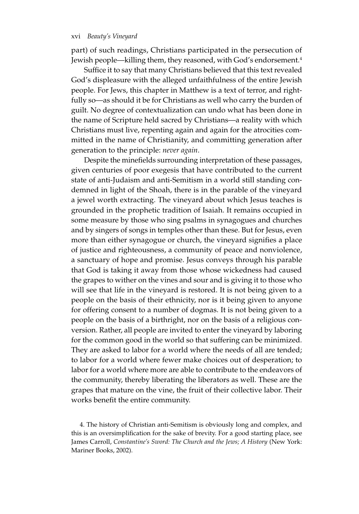#### xvi *Beauty's Vineyard*

part) of such readings, Christians participated in the persecution of Jewish people—killing them, they reasoned, with God's endorsement.<sup>4</sup>

Suffice it to say that many Christians believed that this text revealed God's displeasure with the alleged unfaithfulness of the entire Jewish people. For Jews, this chapter in Matthew is a text of terror, and rightfully so—as should it be for Christians as well who carry the burden of guilt. No degree of contextualization can undo what has been done in the name of Scripture held sacred by Christians—a reality with which Christians must live, repenting again and again for the atrocities committed in the name of Christianity, and committing generation after generation to the principle: *never again*.

Despite the minefields surrounding interpretation of these passages, given centuries of poor exegesis that have contributed to the current state of anti-Judaism and anti-Semitism in a world still standing condemned in light of the Shoah, there is in the parable of the vineyard a jewel worth extracting. The vineyard about which Jesus teaches is grounded in the prophetic tradition of Isaiah. It remains occupied in some measure by those who sing psalms in synagogues and churches and by singers of songs in temples other than these. But for Jesus, even more than either synagogue or church, the vineyard signifies a place of justice and righteousness, a community of peace and nonviolence, a sanctuary of hope and promise. Jesus conveys through his parable that God is taking it away from those whose wickedness had caused the grapes to wither on the vines and sour and is giving it to those who will see that life in the vineyard is restored. It is not being given to a people on the basis of their ethnicity, nor is it being given to anyone for offering consent to a number of dogmas. It is not being given to a people on the basis of a birthright, nor on the basis of a religious conversion. Rather, all people are invited to enter the vineyard by laboring for the common good in the world so that suffering can be minimized. They are asked to labor for a world where the needs of all are tended; to labor for a world where fewer make choices out of desperation; to labor for a world where more are able to contribute to the endeavors of the community, thereby liberating the liberators as well. These are the grapes that mature on the vine, the fruit of their collective labor. Their works benefit the entire community.

4. The history of Christian anti-Semitism is obviously long and complex, and this is an oversimplification for the sake of brevity. For a good starting place, see James Carroll, *Constantine's Sword: The Church and the Jews; A History* (New York: Mariner Books, 2002).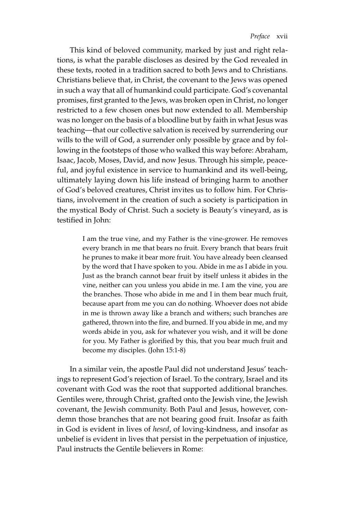This kind of beloved community, marked by just and right relations, is what the parable discloses as desired by the God revealed in these texts, rooted in a tradition sacred to both Jews and to Christians. Christians believe that, in Christ, the covenant to the Jews was opened in such a way that all of humankind could participate. God's covenantal promises, first granted to the Jews, was broken open in Christ, no longer restricted to a few chosen ones but now extended to all. Membership was no longer on the basis of a bloodline but by faith in what Jesus was teaching—that our collective salvation is received by surrendering our wills to the will of God, a surrender only possible by grace and by following in the footsteps of those who walked this way before: Abraham, Isaac, Jacob, Moses, David, and now Jesus. Through his simple, peaceful, and joyful existence in service to humankind and its well-being, ultimately laying down his life instead of bringing harm to another of God's beloved creatures, Christ invites us to follow him. For Christians, involvement in the creation of such a society is participation in the mystical Body of Christ. Such a society is Beauty's vineyard, as is testified in John:

> I am the true vine, and my Father is the vine-grower. He removes every branch in me that bears no fruit. Every branch that bears fruit he prunes to make it bear more fruit. You have already been cleansed by the word that I have spoken to you. Abide in me as I abide in you. Just as the branch cannot bear fruit by itself unless it abides in the vine, neither can you unless you abide in me. I am the vine, you are the branches. Those who abide in me and I in them bear much fruit, because apart from me you can do nothing. Whoever does not abide in me is thrown away like a branch and withers; such branches are gathered, thrown into the fire, and burned. If you abide in me, and my words abide in you, ask for whatever you wish, and it will be done for you. My Father is glorified by this, that you bear much fruit and become my disciples. (John 15:1-8)

In a similar vein, the apostle Paul did not understand Jesus' teachings to represent God's rejection of Israel. To the contrary, Israel and its covenant with God was the root that supported additional branches. Gentiles were, through Christ, grafted onto the Jewish vine, the Jewish covenant, the Jewish community. Both Paul and Jesus, however, condemn those branches that are not bearing good fruit. Insofar as faith in God is evident in lives of *hesed*, of loving-kindness, and insofar as unbelief is evident in lives that persist in the perpetuation of injustice, Paul instructs the Gentile believers in Rome: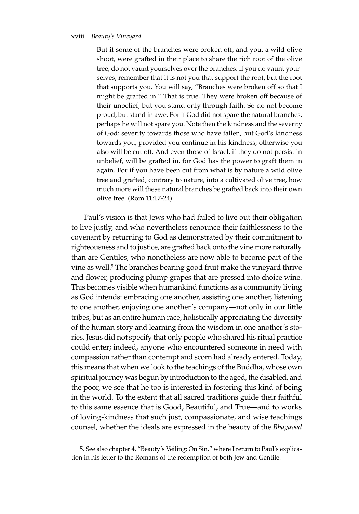#### xviii *Beauty's Vineyard*

But if some of the branches were broken off, and you, a wild olive shoot, were grafted in their place to share the rich root of the olive tree, do not vaunt yourselves over the branches. If you do vaunt yourselves, remember that it is not you that support the root, but the root that supports you. You will say, "Branches were broken off so that I might be grafted in." That is true. They were broken off because of their unbelief, but you stand only through faith. So do not become proud, but stand in awe. For if God did not spare the natural branches, perhaps he will not spare you. Note then the kindness and the severity of God: severity towards those who have fallen, but God's kindness towards you, provided you continue in his kindness; otherwise you also will be cut off. And even those of Israel, if they do not persist in unbelief, will be grafted in, for God has the power to graft them in again. For if you have been cut from what is by nature a wild olive tree and grafted, contrary to nature, into a cultivated olive tree, how much more will these natural branches be grafted back into their own olive tree. (Rom 11:17-24)

Paul's vision is that Jews who had failed to live out their obligation to live justly, and who nevertheless renounce their faithlessness to the covenant by returning to God as demonstrated by their commitment to righteousness and to justice, are grafted back onto the vine more naturally than are Gentiles, who nonetheless are now able to become part of the vine as well.<sup>5</sup> The branches bearing good fruit make the vineyard thrive and flower, producing plump grapes that are pressed into choice wine. This becomes visible when humankind functions as a community living as God intends: embracing one another, assisting one another, listening to one another, enjoying one another's company—not only in our little tribes, but as an entire human race, holistically appreciating the diversity of the human story and learning from the wisdom in one another's stories. Jesus did not specify that only people who shared his ritual practice could enter; indeed, anyone who encountered someone in need with compassion rather than contempt and scorn had already entered. Today, this means that when we look to the teachings of the Buddha, whose own spiritual journey was begun by introduction to the aged, the disabled, and the poor, we see that he too is interested in fostering this kind of being in the world. To the extent that all sacred traditions guide their faithful to this same essence that is Good, Beautiful, and True—and to works of loving-kindness that such just, compassionate, and wise teachings counsel, whether the ideals are expressed in the beauty of the *Bhagavad* 

<sup>5.</sup> See also chapter 4, "Beauty's Veiling: On Sin," where I return to Paul's explication in his letter to the Romans of the redemption of both Jew and Gentile.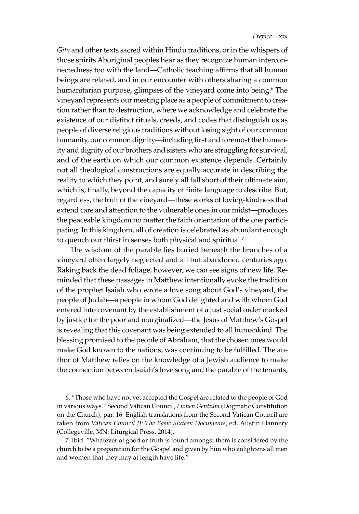*Gita* and other texts sacred within Hindu traditions, or in the whispers of those spirits Aboriginal peoples hear as they recognize human interconnectedness too with the land—Catholic teaching affirms that all human beings are related, and in our encounter with others sharing a common humanitarian purpose, glimpses of the vineyard come into being.<sup>6</sup> The vineyard represents our meeting place as a people of commitment to creation rather than to destruction, where we acknowledge and celebrate the existence of our distinct rituals, creeds, and codes that distinguish us as people of diverse religious traditions without losing sight of our common humanity, our common dignity—including first and foremost the humanity and dignity of our brothers and sisters who are struggling for survival, and of the earth on which our common existence depends. Certainly not all theological constructions are equally accurate in describing the reality to which they point, and surely all fall short of their ultimate aim, which is, finally, beyond the capacity of finite language to describe. But, regardless, the fruit of the vineyard—these works of loving-kindness that extend care and attention to the vulnerable ones in our midst—produces the peaceable kingdom no matter the faith orientation of the one participating. In this kingdom, all of creation is celebrated as abundant enough to quench our thirst in senses both physical and spiritual.<sup>7</sup>

The wisdom of the parable lies buried beneath the branches of a vineyard often largely neglected and all but abandoned centuries ago. Raking back the dead foliage, however, we can see signs of new life. Reminded that these passages in Matthew intentionally evoke the tradition of the prophet Isaiah who wrote a love song about God's vineyard, the people of Judah—a people in whom God delighted and with whom God entered into covenant by the establishment of a just social order marked by justice for the poor and marginalized—the Jesus of Matthew's Gospel is revealing that this covenant was being extended to all humankind. The blessing promised to the people of Abraham, that the chosen ones would make God known to the nations, was continuing to be fulfilled. The author of Matthew relies on the knowledge of a Jewish audience to make the connection between Isaiah's love song and the parable of the tenants,

6. "Those who have not yet accepted the Gospel are related to the people of God in various ways." Second Vatican Council, *Lumen Gentium* (Dogmatic Constitution on the Church), par. 16. English translations from the Second Vatican Council are taken from *Vatican Council II: The Basic Sixteen Documents*, ed. Austin Flannery (Collegeville, MN: Liturgical Press, 2014).

7. Ibid. "Whatever of good or truth is found amongst them is considered by the church to be a preparation for the Gospel and given by him who enlightens all men and women that they may at length have life."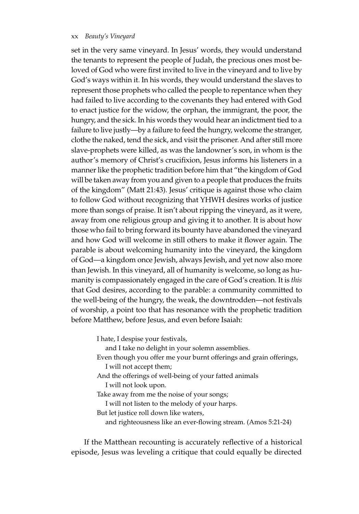#### xx *Beauty's Vineyard*

set in the very same vineyard. In Jesus' words, they would understand the tenants to represent the people of Judah, the precious ones most beloved of God who were first invited to live in the vineyard and to live by God's ways within it. In his words, they would understand the slaves to represent those prophets who called the people to repentance when they had failed to live according to the covenants they had entered with God to enact justice for the widow, the orphan, the immigrant, the poor, the hungry, and the sick. In his words they would hear an indictment tied to a failure to live justly—by a failure to feed the hungry, welcome the stranger, clothe the naked, tend the sick, and visit the prisoner. And after still more slave-prophets were killed, as was the landowner's son, in whom is the author's memory of Christ's crucifixion, Jesus informs his listeners in a manner like the prophetic tradition before him that "the kingdom of God will be taken away from you and given to a people that produces the fruits of the kingdom" (Matt 21:43). Jesus' critique is against those who claim to follow God without recognizing that YHWH desires works of justice more than songs of praise. It isn't about ripping the vineyard, as it were, away from one religious group and giving it to another. It is about how those who fail to bring forward its bounty have abandoned the vineyard and how God will welcome in still others to make it flower again. The parable is about welcoming humanity into the vineyard, the kingdom of God—a kingdom once Jewish, always Jewish, and yet now also more than Jewish. In this vineyard, all of humanity is welcome, so long as humanity is compassionately engaged in the care of God's creation. It is *this* that God desires, according to the parable: a community committed to the well-being of the hungry, the weak, the downtrodden—not festivals of worship, a point too that has resonance with the prophetic tradition before Matthew, before Jesus, and even before Isaiah:

I hate, I despise your festivals,

and I take no delight in your solemn assemblies.

Even though you offer me your burnt offerings and grain offerings, I will not accept them;

And the offerings of well-being of your fatted animals I will not look upon.

Take away from me the noise of your songs;

I will not listen to the melody of your harps.

But let justice roll down like waters,

and righteousness like an ever-flowing stream. (Amos 5:21-24)

If the Matthean recounting is accurately reflective of a historical episode, Jesus was leveling a critique that could equally be directed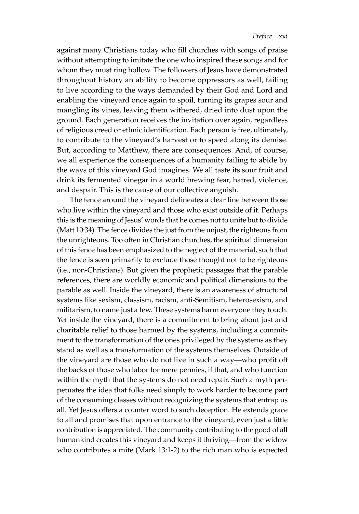against many Christians today who fill churches with songs of praise without attempting to imitate the one who inspired these songs and for whom they must ring hollow. The followers of Jesus have demonstrated throughout history an ability to become oppressors as well, failing to live according to the ways demanded by their God and Lord and enabling the vineyard once again to spoil, turning its grapes sour and mangling its vines, leaving them withered, dried into dust upon the ground. Each generation receives the invitation over again, regardless of religious creed or ethnic identification. Each person is free, ultimately, to contribute to the vineyard's harvest or to speed along its demise. But, according to Matthew, there are consequences. And, of course, we all experience the consequences of a humanity failing to abide by the ways of this vineyard God imagines. We all taste its sour fruit and drink its fermented vinegar in a world brewing fear, hatred, violence, and despair. This is the cause of our collective anguish.

The fence around the vineyard delineates a clear line between those who live within the vineyard and those who exist outside of it. Perhaps this is the meaning of Jesus' words that he comes not to unite but to divide (Matt 10:34). The fence divides the just from the unjust, the righteous from the unrighteous. Too often in Christian churches, the spiritual dimension of this fence has been emphasized to the neglect of the material, such that the fence is seen primarily to exclude those thought not to be righteous (i.e., non-Christians). But given the prophetic passages that the parable references, there are worldly economic and political dimensions to the parable as well. Inside the vineyard, there is an awareness of structural systems like sexism, classism, racism, anti-Semitism, heterosexism, and militarism, to name just a few. These systems harm everyone they touch. Yet inside the vineyard, there is a commitment to bring about just and charitable relief to those harmed by the systems, including a commitment to the transformation of the ones privileged by the systems as they stand as well as a transformation of the systems themselves. Outside of the vineyard are those who do not live in such a way—who profit off the backs of those who labor for mere pennies, if that, and who function within the myth that the systems do not need repair. Such a myth perpetuates the idea that folks need simply to work harder to become part of the consuming classes without recognizing the systems that entrap us all. Yet Jesus offers a counter word to such deception. He extends grace to all and promises that upon entrance to the vineyard, even just a little contribution is appreciated. The community contributing to the good of all humankind creates this vineyard and keeps it thriving—from the widow who contributes a mite (Mark 13:1-2) to the rich man who is expected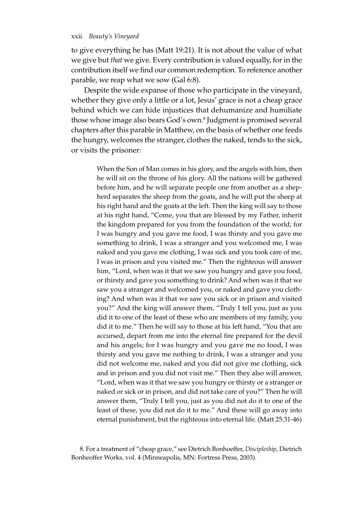#### xxii *Beauty's Vineyard*

to give everything he has (Matt 19:21). It is not about the value of what we give but *that* we give. Every contribution is valued equally, for in the contribution itself we find our common redemption. To reference another parable, we reap what we sow (Gal 6:8).

Despite the wide expanse of those who participate in the vineyard, whether they give only a little or a lot, Jesus' grace is not a cheap grace behind which we can hide injustices that dehumanize and humiliate those whose image also bears God's own.<sup>8</sup> Judgment is promised several chapters after this parable in Matthew, on the basis of whether one feeds the hungry, welcomes the stranger, clothes the naked, tends to the sick, or visits the prisoner:

> When the Son of Man comes in his glory, and the angels with him, then he will sit on the throne of his glory. All the nations will be gathered before him, and he will separate people one from another as a shepherd separates the sheep from the goats, and he will put the sheep at his right hand and the goats at the left. Then the king will say to those at his right hand, "Come, you that are blessed by my Father, inherit the kingdom prepared for you from the foundation of the world; for I was hungry and you gave me food, I was thirsty and you gave me something to drink, I was a stranger and you welcomed me, I was naked and you gave me clothing, I was sick and you took care of me, I was in prison and you visited me." Then the righteous will answer him, "Lord, when was it that we saw you hungry and gave you food, or thirsty and gave you something to drink? And when was it that we saw you a stranger and welcomed you, or naked and gave you clothing? And when was it that we saw you sick or in prison and visited you?" And the king will answer them, "Truly I tell you, just as you did it to one of the least of these who are members of my family, you did it to me." Then he will say to those at his left hand, "You that are accursed, depart from me into the eternal fire prepared for the devil and his angels; for I was hungry and you gave me no food, I was thirsty and you gave me nothing to drink, I was a stranger and you did not welcome me, naked and you did not give me clothing, sick and in prison and you did not visit me." Then they also will answer, "Lord, when was it that we saw you hungry or thirsty or a stranger or naked or sick or in prison, and did not take care of you?" Then he will answer them, "Truly I tell you, just as you did not do it to one of the least of these, you did not do it to me." And these will go away into eternal punishment, but the righteous into eternal life. (Matt 25:31-46)

<sup>8.</sup> For a treatment of "cheap grace," see Dietrich Bonhoeffer, *Discipleship*, Dietrich Bonheoffer Works, vol. 4 (Minneapolis, MN: Fortress Press, 2003).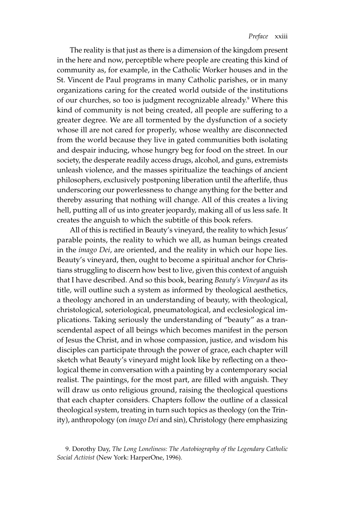The reality is that just as there is a dimension of the kingdom present in the here and now, perceptible where people are creating this kind of community as, for example, in the Catholic Worker houses and in the St. Vincent de Paul programs in many Catholic parishes, or in many organizations caring for the created world outside of the institutions of our churches, so too is judgment recognizable already.<sup>9</sup> Where this kind of community is not being created, all people are suffering to a greater degree. We are all tormented by the dysfunction of a society whose ill are not cared for properly, whose wealthy are disconnected from the world because they live in gated communities both isolating and despair inducing, whose hungry beg for food on the street. In our society, the desperate readily access drugs, alcohol, and guns, extremists unleash violence, and the masses spiritualize the teachings of ancient philosophers, exclusively postponing liberation until the afterlife, thus underscoring our powerlessness to change anything for the better and thereby assuring that nothing will change. All of this creates a living hell, putting all of us into greater jeopardy, making all of us less safe. It creates the anguish to which the subtitle of this book refers.

All of this is rectified in Beauty's vineyard, the reality to which Jesus' parable points, the reality to which we all, as human beings created in the *imago Dei*, are oriented, and the reality in which our hope lies. Beauty's vineyard, then, ought to become a spiritual anchor for Christians struggling to discern how best to live, given this context of anguish that I have described. And so this book, bearing *Beauty's Vineyard* as its title, will outline such a system as informed by theological aesthetics, a theology anchored in an understanding of beauty, with theological, christological, soteriological, pneumatological, and ecclesiological implications. Taking seriously the understanding of "beauty" as a transcendental aspect of all beings which becomes manifest in the person of Jesus the Christ, and in whose compassion, justice, and wisdom his disciples can participate through the power of grace, each chapter will sketch what Beauty's vineyard might look like by reflecting on a theological theme in conversation with a painting by a contemporary social realist. The paintings, for the most part, are filled with anguish. They will draw us onto religious ground, raising the theological questions that each chapter considers. Chapters follow the outline of a classical theological system, treating in turn such topics as theology (on the Trinity), anthropology (on *imago Dei* and sin), Christology (here emphasizing

<sup>9.</sup> Dorothy Day, *The Long Loneliness: The Autobiography of the Legendary Catholic Social Activist* (New York: HarperOne, 1996).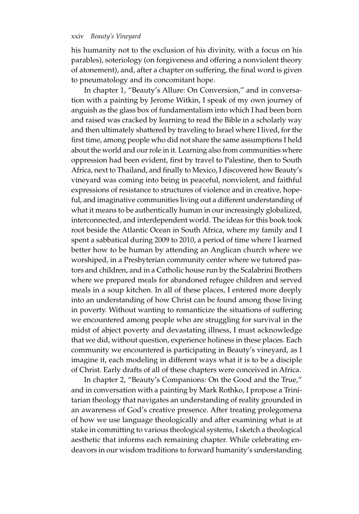#### xxiv *Beauty's Vineyard*

his humanity not to the exclusion of his divinity, with a focus on his parables), soteriology (on forgiveness and offering a nonviolent theory of atonement), and, after a chapter on suffering, the final word is given to pneumatology and its concomitant hope.

In chapter 1, "Beauty's Allure: On Conversion," and in conversation with a painting by Jerome Witkin, I speak of my own journey of anguish as the glass box of fundamentalism into which I had been born and raised was cracked by learning to read the Bible in a scholarly way and then ultimately shattered by traveling to Israel where I lived, for the first time, among people who did not share the same assumptions I held about the world and our role in it. Learning also from communities where oppression had been evident, first by travel to Palestine, then to South Africa, next to Thailand, and finally to Mexico, I discovered how Beauty's vineyard was coming into being in peaceful, nonviolent, and faithful expressions of resistance to structures of violence and in creative, hopeful, and imaginative communities living out a different understanding of what it means to be authentically human in our increasingly globalized, interconnected, and interdependent world. The ideas for this book took root beside the Atlantic Ocean in South Africa, where my family and I spent a sabbatical during 2009 to 2010, a period of time where I learned better how to be human by attending an Anglican church where we worshiped, in a Presbyterian community center where we tutored pastors and children, and in a Catholic house run by the Scalabrini Brothers where we prepared meals for abandoned refugee children and served meals in a soup kitchen. In all of these places, I entered more deeply into an understanding of how Christ can be found among those living in poverty. Without wanting to romanticize the situations of suffering we encountered among people who are struggling for survival in the midst of abject poverty and devastating illness, I must acknowledge that we did, without question, experience holiness in these places. Each community we encountered is participating in Beauty's vineyard, as I imagine it, each modeling in different ways what it is to be a disciple of Christ. Early drafts of all of these chapters were conceived in Africa.

In chapter 2, "Beauty's Companions: On the Good and the True," and in conversation with a painting by Mark Rothko, I propose a Trinitarian theology that navigates an understanding of reality grounded in an awareness of God's creative presence. After treating prolegomena of how we use language theologically and after examining what is at stake in committing to various theological systems, I sketch a theological aesthetic that informs each remaining chapter. While celebrating endeavors in our wisdom traditions to forward humanity's understanding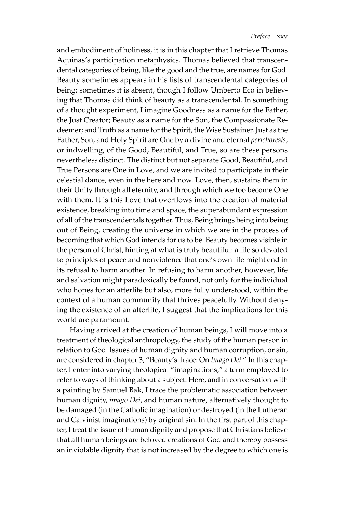and embodiment of holiness, it is in this chapter that I retrieve Thomas Aquinas's participation metaphysics. Thomas believed that transcendental categories of being, like the good and the true, are names for God. Beauty sometimes appears in his lists of transcendental categories of being; sometimes it is absent, though I follow Umberto Eco in believing that Thomas did think of beauty as a transcendental. In something of a thought experiment, I imagine Goodness as a name for the Father, the Just Creator; Beauty as a name for the Son, the Compassionate Redeemer; and Truth as a name for the Spirit, the Wise Sustainer. Just as the Father, Son, and Holy Spirit are One by a divine and eternal *perichoresis*, or indwelling, of the Good, Beautiful, and True, so are these persons nevertheless distinct. The distinct but not separate Good, Beautiful, and True Persons are One in Love, and we are invited to participate in their celestial dance, even in the here and now. Love, then, sustains them in their Unity through all eternity, and through which we too become One with them. It is this Love that overflows into the creation of material existence, breaking into time and space, the superabundant expression of all of the transcendentals together. Thus, Being brings being into being out of Being, creating the universe in which we are in the process of becoming that which God intends for us to be. Beauty becomes visible in the person of Christ, hinting at what is truly beautiful: a life so devoted to principles of peace and nonviolence that one's own life might end in its refusal to harm another. In refusing to harm another, however, life and salvation might paradoxically be found, not only for the individual who hopes for an afterlife but also, more fully understood, within the context of a human community that thrives peacefully. Without denying the existence of an afterlife, I suggest that the implications for this world are paramount.

Having arrived at the creation of human beings, I will move into a treatment of theological anthropology, the study of the human person in relation to God. Issues of human dignity and human corruption, or sin, are considered in chapter 3, "Beauty's Trace: On *Imago Dei*." In this chapter, I enter into varying theological "imaginations," a term employed to refer to ways of thinking about a subject. Here, and in conversation with a painting by Samuel Bak, I trace the problematic association between human dignity, *imago Dei*, and human nature, alternatively thought to be damaged (in the Catholic imagination) or destroyed (in the Lutheran and Calvinist imaginations) by original sin. In the first part of this chapter, I treat the issue of human dignity and propose that Christians believe that all human beings are beloved creations of God and thereby possess an inviolable dignity that is not increased by the degree to which one is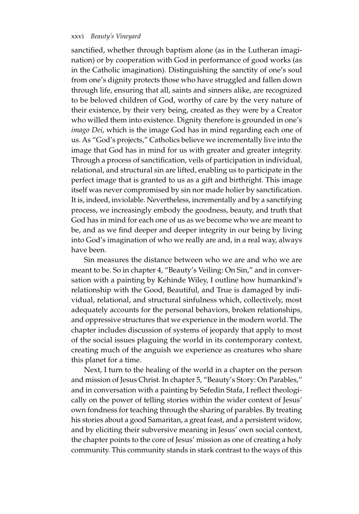#### xxvi *Beauty's Vineyard*

sanctified, whether through baptism alone (as in the Lutheran imagination) or by cooperation with God in performance of good works (as in the Catholic imagination). Distinguishing the sanctity of one's soul from one's dignity protects those who have struggled and fallen down through life, ensuring that all, saints and sinners alike, are recognized to be beloved children of God, worthy of care by the very nature of their existence, by their very being, created as they were by a Creator who willed them into existence. Dignity therefore is grounded in one's *imago Dei*, which is the image God has in mind regarding each one of us. As "God's projects," Catholics believe we incrementally live into the image that God has in mind for us with greater and greater integrity. Through a process of sanctification, veils of participation in individual, relational, and structural sin are lifted, enabling us to participate in the perfect image that is granted to us as a gift and birthright. This image itself was never compromised by sin nor made holier by sanctification. It is, indeed, inviolable. Nevertheless, incrementally and by a sanctifying process, we increasingly embody the goodness, beauty, and truth that God has in mind for each one of us as we become who we are meant to be, and as we find deeper and deeper integrity in our being by living into God's imagination of who we really are and, in a real way, always have been.

Sin measures the distance between who we are and who we are meant to be. So in chapter 4, "Beauty's Veiling: On Sin," and in conversation with a painting by Kehinde Wiley, I outline how humankind's relationship with the Good, Beautiful, and True is damaged by individual, relational, and structural sinfulness which, collectively, most adequately accounts for the personal behaviors, broken relationships, and oppressive structures that we experience in the modern world. The chapter includes discussion of systems of jeopardy that apply to most of the social issues plaguing the world in its contemporary context, creating much of the anguish we experience as creatures who share this planet for a time.

Next, I turn to the healing of the world in a chapter on the person and mission of Jesus Christ. In chapter 5, "Beauty's Story: On Parables," and in conversation with a painting by Sefedin Stafa, I reflect theologically on the power of telling stories within the wider context of Jesus' own fondness for teaching through the sharing of parables. By treating his stories about a good Samaritan, a great feast, and a persistent widow, and by eliciting their subversive meaning in Jesus' own social context, the chapter points to the core of Jesus' mission as one of creating a holy community. This community stands in stark contrast to the ways of this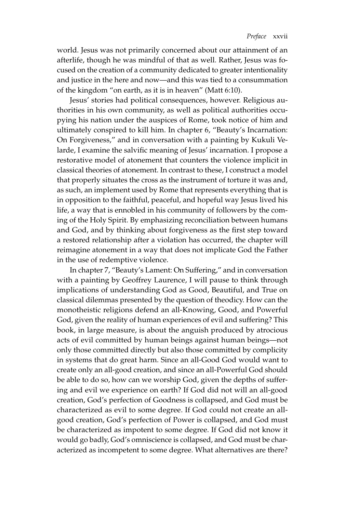world. Jesus was not primarily concerned about our attainment of an afterlife, though he was mindful of that as well. Rather, Jesus was focused on the creation of a community dedicated to greater intentionality and justice in the here and now—and this was tied to a consummation of the kingdom "on earth, as it is in heaven" (Matt 6:10).

Jesus' stories had political consequences, however. Religious authorities in his own community, as well as political authorities occupying his nation under the auspices of Rome, took notice of him and ultimately conspired to kill him. In chapter 6, "Beauty's Incarnation: On Forgiveness," and in conversation with a painting by Kukuli Velarde, I examine the salvific meaning of Jesus' incarnation. I propose a restorative model of atonement that counters the violence implicit in classical theories of atonement. In contrast to these, I construct a model that properly situates the cross as the instrument of torture it was and, as such, an implement used by Rome that represents everything that is in opposition to the faithful, peaceful, and hopeful way Jesus lived his life, a way that is ennobled in his community of followers by the coming of the Holy Spirit. By emphasizing reconciliation between humans and God, and by thinking about forgiveness as the first step toward a restored relationship after a violation has occurred, the chapter will reimagine atonement in a way that does not implicate God the Father in the use of redemptive violence.

In chapter 7, "Beauty's Lament: On Suffering," and in conversation with a painting by Geoffrey Laurence, I will pause to think through implications of understanding God as Good, Beautiful, and True on classical dilemmas presented by the question of theodicy. How can the monotheistic religions defend an all-Knowing, Good, and Powerful God, given the reality of human experiences of evil and suffering? This book, in large measure, is about the anguish produced by atrocious acts of evil committed by human beings against human beings—not only those committed directly but also those committed by complicity in systems that do great harm. Since an all-Good God would want to create only an all-good creation, and since an all-Powerful God should be able to do so, how can we worship God, given the depths of suffering and evil we experience on earth? If God did not will an all-good creation, God's perfection of Goodness is collapsed, and God must be characterized as evil to some degree. If God could not create an allgood creation, God's perfection of Power is collapsed, and God must be characterized as impotent to some degree. If God did not know it would go badly, God's omniscience is collapsed, and God must be characterized as incompetent to some degree. What alternatives are there?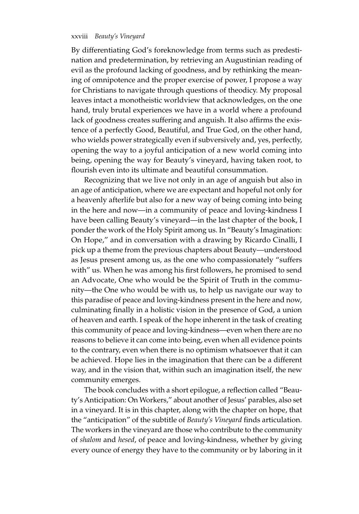#### xxviii *Beauty's Vineyard*

By differentiating God's foreknowledge from terms such as predestination and predetermination, by retrieving an Augustinian reading of evil as the profound lacking of goodness, and by rethinking the meaning of omnipotence and the proper exercise of power, I propose a way for Christians to navigate through questions of theodicy. My proposal leaves intact a monotheistic worldview that acknowledges, on the one hand, truly brutal experiences we have in a world where a profound lack of goodness creates suffering and anguish. It also affirms the existence of a perfectly Good, Beautiful, and True God, on the other hand, who wields power strategically even if subversively and, yes, perfectly, opening the way to a joyful anticipation of a new world coming into being, opening the way for Beauty's vineyard, having taken root, to flourish even into its ultimate and beautiful consummation.

Recognizing that we live not only in an age of anguish but also in an age of anticipation, where we are expectant and hopeful not only for a heavenly afterlife but also for a new way of being coming into being in the here and now—in a community of peace and loving-kindness I have been calling Beauty's vineyard—in the last chapter of the book, I ponder the work of the Holy Spirit among us. In "Beauty's Imagination: On Hope," and in conversation with a drawing by Ricardo Cinalli, I pick up a theme from the previous chapters about Beauty—understood as Jesus present among us, as the one who compassionately "suffers with" us. When he was among his first followers, he promised to send an Advocate, One who would be the Spirit of Truth in the community—the One who would be with us, to help us navigate our way to this paradise of peace and loving-kindness present in the here and now, culminating finally in a holistic vision in the presence of God, a union of heaven and earth. I speak of the hope inherent in the task of creating this community of peace and loving-kindness—even when there are no reasons to believe it can come into being, even when all evidence points to the contrary, even when there is no optimism whatsoever that it can be achieved. Hope lies in the imagination that there can be a different way, and in the vision that, within such an imagination itself, the new community emerges.

The book concludes with a short epilogue, a reflection called "Beauty's Anticipation: On Workers," about another of Jesus' parables, also set in a vineyard. It is in this chapter, along with the chapter on hope, that the "anticipation" of the subtitle of *Beauty's Vineyard* finds articulation. The workers in the vineyard are those who contribute to the community of *shalom* and *hesed*, of peace and loving-kindness, whether by giving every ounce of energy they have to the community or by laboring in it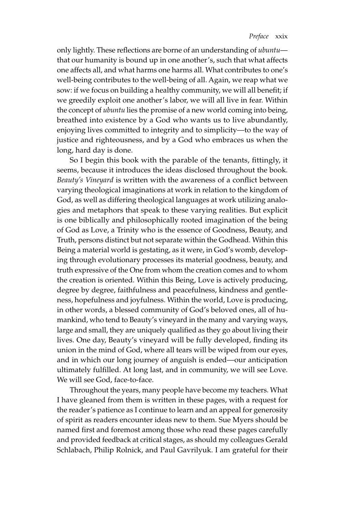only lightly. These reflections are borne of an understanding of *ubuntu* that our humanity is bound up in one another's, such that what affects one affects all, and what harms one harms all. What contributes to one's well-being contributes to the well-being of all. Again, we reap what we sow: if we focus on building a healthy community, we will all benefit; if we greedily exploit one another's labor, we will all live in fear. Within the concept of *ubuntu* lies the promise of a new world coming into being, breathed into existence by a God who wants us to live abundantly, enjoying lives committed to integrity and to simplicity—to the way of justice and righteousness, and by a God who embraces us when the long, hard day is done.

So I begin this book with the parable of the tenants, fittingly, it seems, because it introduces the ideas disclosed throughout the book. *Beauty's Vineyard* is written with the awareness of a conflict between varying theological imaginations at work in relation to the kingdom of God, as well as differing theological languages at work utilizing analogies and metaphors that speak to these varying realities. But explicit is one biblically and philosophically rooted imagination of the being of God as Love, a Trinity who is the essence of Goodness, Beauty, and Truth, persons distinct but not separate within the Godhead. Within this Being a material world is gestating, as it were, in God's womb, developing through evolutionary processes its material goodness, beauty, and truth expressive of the One from whom the creation comes and to whom the creation is oriented. Within this Being, Love is actively producing, degree by degree, faithfulness and peacefulness, kindness and gentleness, hopefulness and joyfulness. Within the world, Love is producing, in other words, a blessed community of God's beloved ones, all of humankind, who tend to Beauty's vineyard in the many and varying ways, large and small, they are uniquely qualified as they go about living their lives. One day, Beauty's vineyard will be fully developed, finding its union in the mind of God, where all tears will be wiped from our eyes, and in which our long journey of anguish is ended—our anticipation ultimately fulfilled. At long last, and in community, we will see Love. We will see God, face-to-face.

Throughout the years, many people have become my teachers. What I have gleaned from them is written in these pages, with a request for the reader's patience as I continue to learn and an appeal for generosity of spirit as readers encounter ideas new to them. Sue Myers should be named first and foremost among those who read these pages carefully and provided feedback at critical stages, as should my colleagues Gerald Schlabach, Philip Rolnick, and Paul Gavrilyuk. I am grateful for their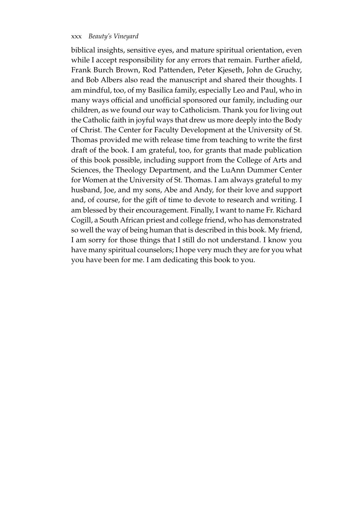#### xxx *Beauty's Vineyard*

biblical insights, sensitive eyes, and mature spiritual orientation, even while I accept responsibility for any errors that remain. Further afield, Frank Burch Brown, Rod Pattenden, Peter Kjeseth, John de Gruchy, and Bob Albers also read the manuscript and shared their thoughts. I am mindful, too, of my Basilica family, especially Leo and Paul, who in many ways official and unofficial sponsored our family, including our children, as we found our way to Catholicism. Thank you for living out the Catholic faith in joyful ways that drew us more deeply into the Body of Christ. The Center for Faculty Development at the University of St. Thomas provided me with release time from teaching to write the first draft of the book. I am grateful, too, for grants that made publication of this book possible, including support from the College of Arts and Sciences, the Theology Department, and the LuAnn Dummer Center for Women at the University of St. Thomas. I am always grateful to my husband, Joe, and my sons, Abe and Andy, for their love and support and, of course, for the gift of time to devote to research and writing. I am blessed by their encouragement. Finally, I want to name Fr. Richard Cogill, a South African priest and college friend, who has demonstrated so well the way of being human that is described in this book. My friend, I am sorry for those things that I still do not understand. I know you have many spiritual counselors; I hope very much they are for you what you have been for me. I am dedicating this book to you.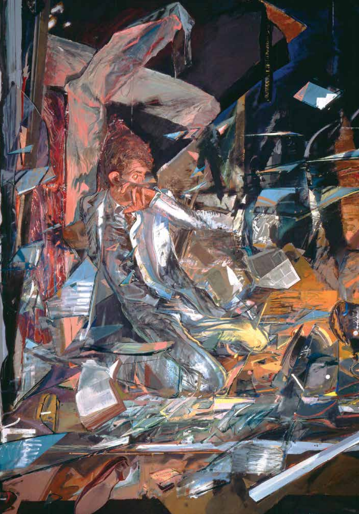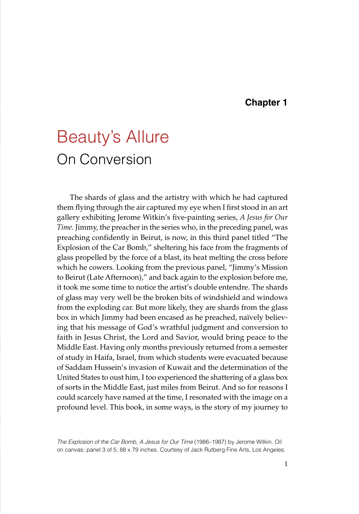#### **Chapter 1**

# Beauty's Allure On Conversion

The shards of glass and the artistry with which he had captured them flying through the air captured my eye when I first stood in an art gallery exhibiting Jerome Witkin's five-painting series, *A Jesus for Our Time*. Jimmy, the preacher in the series who, in the preceding panel, was preaching confidently in Beirut, is now, in this third panel titled "The Explosion of the Car Bomb," sheltering his face from the fragments of glass propelled by the force of a blast, its heat melting the cross before which he cowers. Looking from the previous panel, "Jimmy's Mission to Beirut (Late Afternoon)," and back again to the explosion before me, it took me some time to notice the artist's double entendre. The shards of glass may very well be the broken bits of windshield and windows from the exploding car. But more likely, they are shards from the glass box in which Jimmy had been encased as he preached, naïvely believing that his message of God's wrathful judgment and conversion to faith in Jesus Christ, the Lord and Savior, would bring peace to the Middle East. Having only months previously returned from a semester of study in Haifa, Israel, from which students were evacuated because of Saddam Hussein's invasion of Kuwait and the determination of the United States to oust him, I too experienced the shattering of a glass box of sorts in the Middle East, just miles from Beirut. And so for reasons I could scarcely have named at the time, I resonated with the image on a profound level. This book, in some ways, is the story of my journey to

*The Explosion of the Car Bomb, A Jesus for Our Time* (1986–1987) by Jerome Witkin. Oil on canvas; panel 3 of 5; 88 x 79 inches. Courtesy of Jack Rutberg Fine Arts, Los Angeles.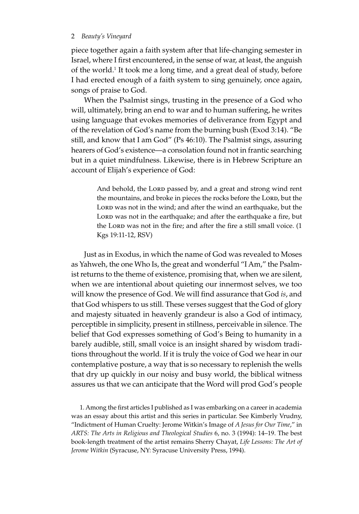#### 2 *Beauty's Vineyard*

piece together again a faith system after that life-changing semester in Israel, where I first encountered, in the sense of war, at least, the anguish of the world.<sup>1</sup> It took me a long time, and a great deal of study, before I had erected enough of a faith system to sing genuinely, once again, songs of praise to God.

When the Psalmist sings, trusting in the presence of a God who will, ultimately, bring an end to war and to human suffering, he writes using language that evokes memories of deliverance from Egypt and of the revelation of God's name from the burning bush (Exod 3:14). "Be still, and know that I am God" (Ps 46:10). The Psalmist sings, assuring hearers of God's existence—a consolation found not in frantic searching but in a quiet mindfulness. Likewise, there is in Hebrew Scripture an account of Elijah's experience of God:

> And behold, the Lorp passed by, and a great and strong wind rent the mountains, and broke in pieces the rocks before the Lord, but the LORD was not in the wind; and after the wind an earthquake, but the LORD was not in the earthquake; and after the earthquake a fire, but the Lord was not in the fire; and after the fire a still small voice. (1 Kgs 19:11-12, RSV)

Just as in Exodus, in which the name of God was revealed to Moses as Yahweh, the one Who Is, the great and wonderful "I Am," the Psalmist returns to the theme of existence, promising that, when we are silent, when we are intentional about quieting our innermost selves, we too will know the presence of God. We will find assurance that God *is*, and that God whispers to us still. These verses suggest that the God of glory and majesty situated in heavenly grandeur is also a God of intimacy, perceptible in simplicity, present in stillness, perceivable in silence. The belief that God expresses something of God's Being to humanity in a barely audible, still, small voice is an insight shared by wisdom traditions throughout the world. If it is truly the voice of God we hear in our contemplative posture, a way that is so necessary to replenish the wells that dry up quickly in our noisy and busy world, the biblical witness assures us that we can anticipate that the Word will prod God's people

1. Among the first articles I published as I was embarking on a career in academia was an essay about this artist and this series in particular. See Kimberly Vrudny, "Indictment of Human Cruelty: Jerome Witkin's Image of *A Jesus for Our Time*," in *ARTS: The Arts in Religious and Theological Studies* 6, no. 3 (1994): 14–19. The best book-length treatment of the artist remains Sherry Chayat, *Life Lessons: The Art of Jerome Witkin* (Syracuse, NY: Syracuse University Press, 1994).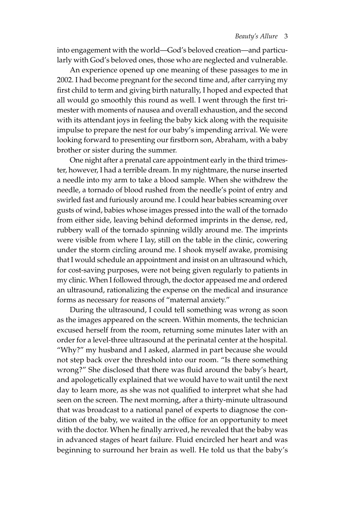into engagement with the world—God's beloved creation—and particularly with God's beloved ones, those who are neglected and vulnerable.

An experience opened up one meaning of these passages to me in 2002. I had become pregnant for the second time and, after carrying my first child to term and giving birth naturally, I hoped and expected that all would go smoothly this round as well. I went through the first trimester with moments of nausea and overall exhaustion, and the second with its attendant joys in feeling the baby kick along with the requisite impulse to prepare the nest for our baby's impending arrival. We were looking forward to presenting our firstborn son, Abraham, with a baby brother or sister during the summer.

One night after a prenatal care appointment early in the third trimester, however, I had a terrible dream. In my nightmare, the nurse inserted a needle into my arm to take a blood sample. When she withdrew the needle, a tornado of blood rushed from the needle's point of entry and swirled fast and furiously around me. I could hear babies screaming over gusts of wind, babies whose images pressed into the wall of the tornado from either side, leaving behind deformed imprints in the dense, red, rubbery wall of the tornado spinning wildly around me. The imprints were visible from where I lay, still on the table in the clinic, cowering under the storm circling around me. I shook myself awake, promising that I would schedule an appointment and insist on an ultrasound which, for cost-saving purposes, were not being given regularly to patients in my clinic. When I followed through, the doctor appeased me and ordered an ultrasound, rationalizing the expense on the medical and insurance forms as necessary for reasons of "maternal anxiety."

During the ultrasound, I could tell something was wrong as soon as the images appeared on the screen. Within moments, the technician excused herself from the room, returning some minutes later with an order for a level-three ultrasound at the perinatal center at the hospital. "Why?" my husband and I asked, alarmed in part because she would not step back over the threshold into our room. "Is there something wrong?" She disclosed that there was fluid around the baby's heart, and apologetically explained that we would have to wait until the next day to learn more, as she was not qualified to interpret what she had seen on the screen. The next morning, after a thirty-minute ultrasound that was broadcast to a national panel of experts to diagnose the condition of the baby, we waited in the office for an opportunity to meet with the doctor. When he finally arrived, he revealed that the baby was in advanced stages of heart failure. Fluid encircled her heart and was beginning to surround her brain as well. He told us that the baby's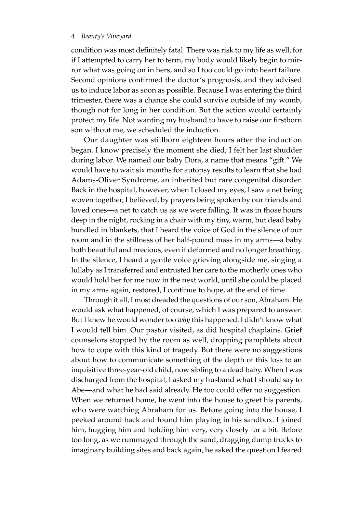#### 4 *Beauty's Vineyard*

condition was most definitely fatal. There was risk to my life as well, for if I attempted to carry her to term, my body would likely begin to mirror what was going on in hers, and so I too could go into heart failure. Second opinions confirmed the doctor's prognosis, and they advised us to induce labor as soon as possible. Because I was entering the third trimester, there was a chance she could survive outside of my womb, though not for long in her condition. But the action would certainly protect my life. Not wanting my husband to have to raise our firstborn son without me, we scheduled the induction.

Our daughter was stillborn eighteen hours after the induction began. I know precisely the moment she died; I felt her last shudder during labor. We named our baby Dora, a name that means "gift." We would have to wait six months for autopsy results to learn that she had Adams-Oliver Syndrome, an inherited but rare congenital disorder. Back in the hospital, however, when I closed my eyes, I saw a net being woven together, I believed, by prayers being spoken by our friends and loved ones—a net to catch us as we were falling. It was in those hours deep in the night, rocking in a chair with my tiny, warm, but dead baby bundled in blankets, that I heard the voice of God in the silence of our room and in the stillness of her half-pound mass in my arms—a baby both beautiful and precious, even if deformed and no longer breathing. In the silence, I heard a gentle voice grieving alongside me, singing a lullaby as I transferred and entrusted her care to the motherly ones who would hold her for me now in the next world, until she could be placed in my arms again, restored, I continue to hope, at the end of time.

Through it all, I most dreaded the questions of our son, Abraham. He would ask what happened, of course, which I was prepared to answer. But I knew he would wonder too *why* this happened. I didn't know what I would tell him. Our pastor visited, as did hospital chaplains. Grief counselors stopped by the room as well, dropping pamphlets about how to cope with this kind of tragedy. But there were no suggestions about how to communicate something of the depth of this loss to an inquisitive three-year-old child, now sibling to a dead baby. When I was discharged from the hospital, I asked my husband what I should say to Abe—and what he had said already. He too could offer no suggestion. When we returned home, he went into the house to greet his parents, who were watching Abraham for us. Before going into the house, I peeked around back and found him playing in his sandbox. I joined him, hugging him and holding him very, very closely for a bit. Before too long, as we rummaged through the sand, dragging dump trucks to imaginary building sites and back again, he asked the question I feared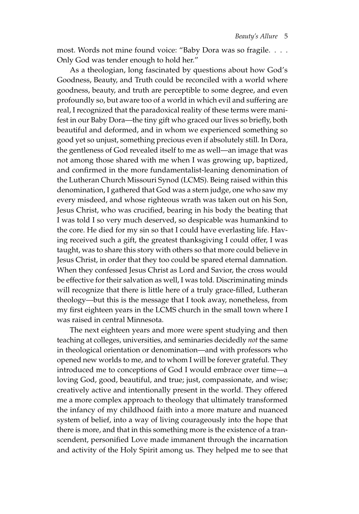most. Words not mine found voice: "Baby Dora was so fragile. . . . Only God was tender enough to hold her."

As a theologian, long fascinated by questions about how God's Goodness, Beauty, and Truth could be reconciled with a world where goodness, beauty, and truth are perceptible to some degree, and even profoundly so, but aware too of a world in which evil and suffering are real, I recognized that the paradoxical reality of these terms were manifest in our Baby Dora—the tiny gift who graced our lives so briefly, both beautiful and deformed, and in whom we experienced something so good yet so unjust, something precious even if absolutely still. In Dora, the gentleness of God revealed itself to me as well—an image that was not among those shared with me when I was growing up, baptized, and confirmed in the more fundamentalist-leaning denomination of the Lutheran Church Missouri Synod (LCMS). Being raised within this denomination, I gathered that God was a stern judge, one who saw my every misdeed, and whose righteous wrath was taken out on his Son, Jesus Christ, who was crucified, bearing in his body the beating that I was told I so very much deserved, so despicable was humankind to the core. He died for my sin so that I could have everlasting life. Having received such a gift, the greatest thanksgiving I could offer, I was taught, was to share this story with others so that more could believe in Jesus Christ, in order that they too could be spared eternal damnation. When they confessed Jesus Christ as Lord and Savior, the cross would be effective for their salvation as well, I was told. Discriminating minds will recognize that there is little here of a truly grace-filled, Lutheran theology—but this is the message that I took away, nonetheless, from my first eighteen years in the LCMS church in the small town where I was raised in central Minnesota.

The next eighteen years and more were spent studying and then teaching at colleges, universities, and seminaries decidedly *not* the same in theological orientation or denomination—and with professors who opened new worlds to me, and to whom I will be forever grateful. They introduced me to conceptions of God I would embrace over time—a loving God, good, beautiful, and true; just, compassionate, and wise; creatively active and intentionally present in the world. They offered me a more complex approach to theology that ultimately transformed the infancy of my childhood faith into a more mature and nuanced system of belief, into a way of living courageously into the hope that there is more, and that in this something more is the existence of a transcendent, personified Love made immanent through the incarnation and activity of the Holy Spirit among us. They helped me to see that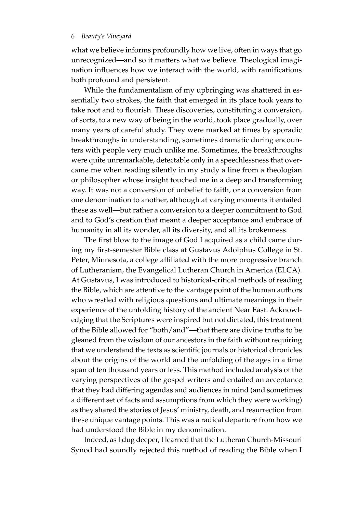#### 6 *Beauty's Vineyard*

what we believe informs profoundly how we live, often in ways that go unrecognized—and so it matters what we believe. Theological imagination influences how we interact with the world, with ramifications both profound and persistent.

While the fundamentalism of my upbringing was shattered in essentially two strokes, the faith that emerged in its place took years to take root and to flourish. These discoveries, constituting a conversion, of sorts, to a new way of being in the world, took place gradually, over many years of careful study. They were marked at times by sporadic breakthroughs in understanding, sometimes dramatic during encounters with people very much unlike me. Sometimes, the breakthroughs were quite unremarkable, detectable only in a speechlessness that overcame me when reading silently in my study a line from a theologian or philosopher whose insight touched me in a deep and transforming way. It was not a conversion of unbelief to faith, or a conversion from one denomination to another, although at varying moments it entailed these as well—but rather a conversion to a deeper commitment to God and to God's creation that meant a deeper acceptance and embrace of humanity in all its wonder, all its diversity, and all its brokenness.

The first blow to the image of God I acquired as a child came during my first-semester Bible class at Gustavus Adolphus College in St. Peter, Minnesota, a college affiliated with the more progressive branch of Lutheranism, the Evangelical Lutheran Church in America (ELCA). At Gustavus, I was introduced to historical-critical methods of reading the Bible, which are attentive to the vantage point of the human authors who wrestled with religious questions and ultimate meanings in their experience of the unfolding history of the ancient Near East. Acknowledging that the Scriptures were inspired but not dictated, this treatment of the Bible allowed for "both/and"—that there are divine truths to be gleaned from the wisdom of our ancestors in the faith without requiring that we understand the texts as scientific journals or historical chronicles about the origins of the world and the unfolding of the ages in a time span of ten thousand years or less. This method included analysis of the varying perspectives of the gospel writers and entailed an acceptance that they had differing agendas and audiences in mind (and sometimes a different set of facts and assumptions from which they were working) as they shared the stories of Jesus' ministry, death, and resurrection from these unique vantage points. This was a radical departure from how we had understood the Bible in my denomination.

Indeed, as I dug deeper, I learned that the Lutheran Church-Missouri Synod had soundly rejected this method of reading the Bible when I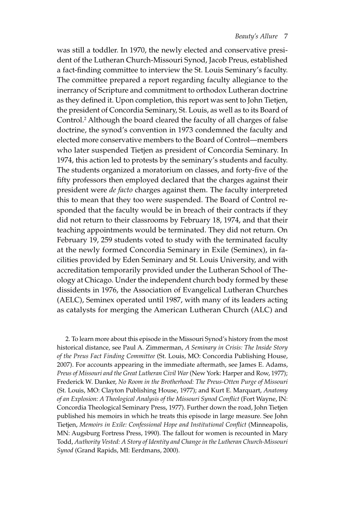was still a toddler. In 1970, the newly elected and conservative president of the Lutheran Church-Missouri Synod, Jacob Preus, established a fact-finding committee to interview the St. Louis Seminary's faculty. The committee prepared a report regarding faculty allegiance to the inerrancy of Scripture and commitment to orthodox Lutheran doctrine as they defined it. Upon completion, this report was sent to John Tietjen, the president of Concordia Seminary, St. Louis, as well as to its Board of Control.<sup>2</sup> Although the board cleared the faculty of all charges of false doctrine, the synod's convention in 1973 condemned the faculty and elected more conservative members to the Board of Control—members who later suspended Tietjen as president of Concordia Seminary. In 1974, this action led to protests by the seminary's students and faculty. The students organized a moratorium on classes, and forty-five of the fifty professors then employed declared that the charges against their president were *de facto* charges against them. The faculty interpreted this to mean that they too were suspended. The Board of Control responded that the faculty would be in breach of their contracts if they did not return to their classrooms by February 18, 1974, and that their teaching appointments would be terminated. They did not return. On February 19, 259 students voted to study with the terminated faculty at the newly formed Concordia Seminary in Exile (Seminex), in facilities provided by Eden Seminary and St. Louis University, and with accreditation temporarily provided under the Lutheran School of Theology at Chicago. Under the independent church body formed by these dissidents in 1976, the Association of Evangelical Lutheran Churches (AELC), Seminex operated until 1987, with many of its leaders acting as catalysts for merging the American Lutheran Church (ALC) and

2. To learn more about this episode in the Missouri Synod's history from the most historical distance, see Paul A. Zimmerman, *A Seminary in Crisis: The Inside Story of the Preus Fact Finding Committee* (St. Louis, MO: Concordia Publishing House, 2007). For accounts appearing in the immediate aftermath, see James E. Adams, *Preus of Missouri and the Great Lutheran Civil War* (New York: Harper and Row, 1977); Frederick W. Danker, *No Room in the Brotherhood: The Preus-Otten Purge of Missouri* (St. Louis, MO: Clayton Publishing House, 1977); and Kurt E. Marquart, *Anatomy of an Explosion: A Theological Analysis of the Missouri Synod Conflict* (Fort Wayne, IN: Concordia Theological Seminary Press, 1977). Further down the road, John Tietjen published his memoirs in which he treats this episode in large measure. See John Tietjen, *Memoirs in Exile: Confessional Hope and Institutional Conflict* (Minneapolis, MN: Augsburg Fortress Press, 1990). The fallout for women is recounted in Mary Todd, *Authority Vested: A Story of Identity and Change in the Lutheran Church-Missouri Synod* (Grand Rapids, MI: Eerdmans, 2000).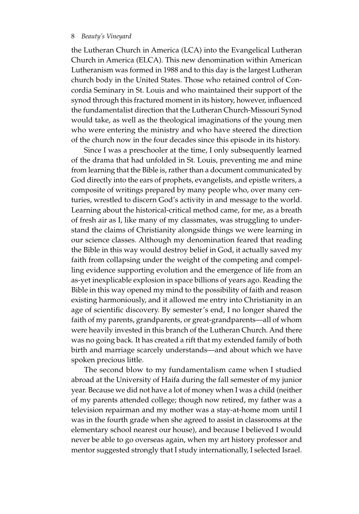#### 8 *Beauty's Vineyard*

the Lutheran Church in America (LCA) into the Evangelical Lutheran Church in America (ELCA). This new denomination within American Lutheranism was formed in 1988 and to this day is the largest Lutheran church body in the United States. Those who retained control of Concordia Seminary in St. Louis and who maintained their support of the synod through this fractured moment in its history, however, influenced the fundamentalist direction that the Lutheran Church-Missouri Synod would take, as well as the theological imaginations of the young men who were entering the ministry and who have steered the direction of the church now in the four decades since this episode in its history.

Since I was a preschooler at the time, I only subsequently learned of the drama that had unfolded in St. Louis, preventing me and mine from learning that the Bible is, rather than a document communicated by God directly into the ears of prophets, evangelists, and epistle writers, a composite of writings prepared by many people who, over many centuries, wrestled to discern God's activity in and message to the world. Learning about the historical-critical method came, for me, as a breath of fresh air as I, like many of my classmates, was struggling to understand the claims of Christianity alongside things we were learning in our science classes. Although my denomination feared that reading the Bible in this way would destroy belief in God, it actually saved my faith from collapsing under the weight of the competing and compelling evidence supporting evolution and the emergence of life from an as-yet inexplicable explosion in space billions of years ago. Reading the Bible in this way opened my mind to the possibility of faith and reason existing harmoniously, and it allowed me entry into Christianity in an age of scientific discovery. By semester's end, I no longer shared the faith of my parents, grandparents, or great-grandparents—all of whom were heavily invested in this branch of the Lutheran Church. And there was no going back. It has created a rift that my extended family of both birth and marriage scarcely understands—and about which we have spoken precious little.

The second blow to my fundamentalism came when I studied abroad at the University of Haifa during the fall semester of my junior year. Because we did not have a lot of money when I was a child (neither of my parents attended college; though now retired, my father was a television repairman and my mother was a stay-at-home mom until I was in the fourth grade when she agreed to assist in classrooms at the elementary school nearest our house), and because I believed I would never be able to go overseas again, when my art history professor and mentor suggested strongly that I study internationally, I selected Israel.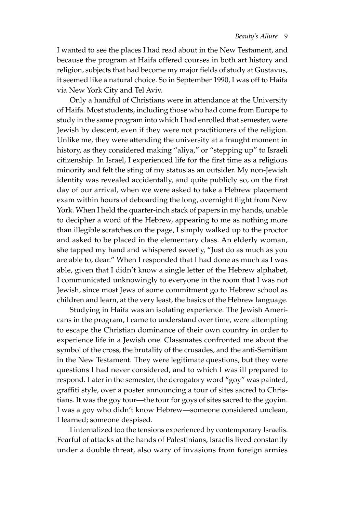I wanted to see the places I had read about in the New Testament, and because the program at Haifa offered courses in both art history and religion, subjects that had become my major fields of study at Gustavus, it seemed like a natural choice. So in September 1990, I was off to Haifa via New York City and Tel Aviv.

Only a handful of Christians were in attendance at the University of Haifa. Most students, including those who had come from Europe to study in the same program into which I had enrolled that semester, were Jewish by descent, even if they were not practitioners of the religion. Unlike me, they were attending the university at a fraught moment in history, as they considered making "aliya," or "stepping up" to Israeli citizenship. In Israel, I experienced life for the first time as a religious minority and felt the sting of my status as an outsider. My non-Jewish identity was revealed accidentally, and quite publicly so, on the first day of our arrival, when we were asked to take a Hebrew placement exam within hours of deboarding the long, overnight flight from New York. When I held the quarter-inch stack of papers in my hands, unable to decipher a word of the Hebrew, appearing to me as nothing more than illegible scratches on the page, I simply walked up to the proctor and asked to be placed in the elementary class. An elderly woman, she tapped my hand and whispered sweetly, "Just do as much as you are able to, dear." When I responded that I had done as much as I was able, given that I didn't know a single letter of the Hebrew alphabet, I communicated unknowingly to everyone in the room that I was not Jewish, since most Jews of some commitment go to Hebrew school as children and learn, at the very least, the basics of the Hebrew language.

Studying in Haifa was an isolating experience. The Jewish Americans in the program, I came to understand over time, were attempting to escape the Christian dominance of their own country in order to experience life in a Jewish one. Classmates confronted me about the symbol of the cross, the brutality of the crusades, and the anti-Semitism in the New Testament. They were legitimate questions, but they were questions I had never considered, and to which I was ill prepared to respond. Later in the semester, the derogatory word "goy" was painted, graffiti style, over a poster announcing a tour of sites sacred to Christians. It was the goy tour—the tour for goys of sites sacred to the goyim. I was a goy who didn't know Hebrew—someone considered unclean, I learned; someone despised.

I internalized too the tensions experienced by contemporary Israelis. Fearful of attacks at the hands of Palestinians, Israelis lived constantly under a double threat, also wary of invasions from foreign armies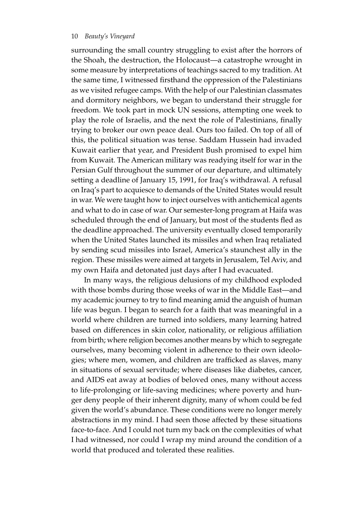#### 10 *Beauty's Vineyard*

surrounding the small country struggling to exist after the horrors of the Shoah, the destruction, the Holocaust—a catastrophe wrought in some measure by interpretations of teachings sacred to my tradition. At the same time, I witnessed firsthand the oppression of the Palestinians as we visited refugee camps. With the help of our Palestinian classmates and dormitory neighbors, we began to understand their struggle for freedom. We took part in mock UN sessions, attempting one week to play the role of Israelis, and the next the role of Palestinians, finally trying to broker our own peace deal. Ours too failed. On top of all of this, the political situation was tense. Saddam Hussein had invaded Kuwait earlier that year, and President Bush promised to expel him from Kuwait. The American military was readying itself for war in the Persian Gulf throughout the summer of our departure, and ultimately setting a deadline of January 15, 1991, for Iraq's withdrawal. A refusal on Iraq's part to acquiesce to demands of the United States would result in war. We were taught how to inject ourselves with antichemical agents and what to do in case of war. Our semester-long program at Haifa was scheduled through the end of January, but most of the students fled as the deadline approached. The university eventually closed temporarily when the United States launched its missiles and when Iraq retaliated by sending scud missiles into Israel, America's staunchest ally in the region. These missiles were aimed at targets in Jerusalem, Tel Aviv, and my own Haifa and detonated just days after I had evacuated.

In many ways, the religious delusions of my childhood exploded with those bombs during those weeks of war in the Middle East—and my academic journey to try to find meaning amid the anguish of human life was begun. I began to search for a faith that was meaningful in a world where children are turned into soldiers, many learning hatred based on differences in skin color, nationality, or religious affiliation from birth; where religion becomes another means by which to segregate ourselves, many becoming violent in adherence to their own ideologies; where men, women, and children are trafficked as slaves, many in situations of sexual servitude; where diseases like diabetes, cancer, and AIDS eat away at bodies of beloved ones, many without access to life-prolonging or life-saving medicines; where poverty and hunger deny people of their inherent dignity, many of whom could be fed given the world's abundance. These conditions were no longer merely abstractions in my mind. I had seen those affected by these situations face-to-face. And I could not turn my back on the complexities of what I had witnessed, nor could I wrap my mind around the condition of a world that produced and tolerated these realities.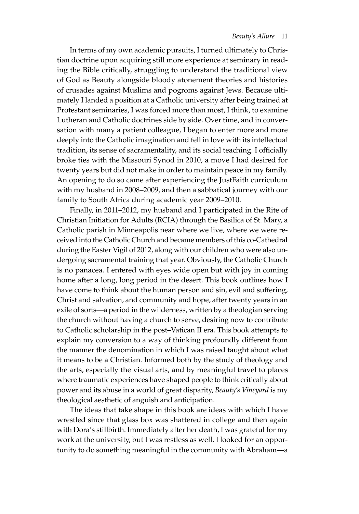In terms of my own academic pursuits, I turned ultimately to Christian doctrine upon acquiring still more experience at seminary in reading the Bible critically, struggling to understand the traditional view of God as Beauty alongside bloody atonement theories and histories of crusades against Muslims and pogroms against Jews. Because ultimately I landed a position at a Catholic university after being trained at Protestant seminaries, I was forced more than most, I think, to examine Lutheran and Catholic doctrines side by side. Over time, and in conversation with many a patient colleague, I began to enter more and more deeply into the Catholic imagination and fell in love with its intellectual tradition, its sense of sacramentality, and its social teaching. I officially broke ties with the Missouri Synod in 2010, a move I had desired for twenty years but did not make in order to maintain peace in my family. An opening to do so came after experiencing the JustFaith curriculum with my husband in 2008–2009, and then a sabbatical journey with our family to South Africa during academic year 2009–2010.

Finally, in 2011–2012, my husband and I participated in the Rite of Christian Initiation for Adults (RCIA) through the Basilica of St. Mary, a Catholic parish in Minneapolis near where we live, where we were received into the Catholic Church and became members of this co-Cathedral during the Easter Vigil of 2012, along with our children who were also undergoing sacramental training that year. Obviously, the Catholic Church is no panacea. I entered with eyes wide open but with joy in coming home after a long, long period in the desert. This book outlines how I have come to think about the human person and sin, evil and suffering, Christ and salvation, and community and hope, after twenty years in an exile of sorts—a period in the wilderness, written by a theologian serving the church without having a church to serve, desiring now to contribute to Catholic scholarship in the post–Vatican II era. This book attempts to explain my conversion to a way of thinking profoundly different from the manner the denomination in which I was raised taught about what it means to be a Christian. Informed both by the study of theology and the arts, especially the visual arts, and by meaningful travel to places where traumatic experiences have shaped people to think critically about power and its abuse in a world of great disparity, *Beauty's Vineyard* is my theological aesthetic of anguish and anticipation.

The ideas that take shape in this book are ideas with which I have wrestled since that glass box was shattered in college and then again with Dora's stillbirth. Immediately after her death, I was grateful for my work at the university, but I was restless as well. I looked for an opportunity to do something meaningful in the community with Abraham—a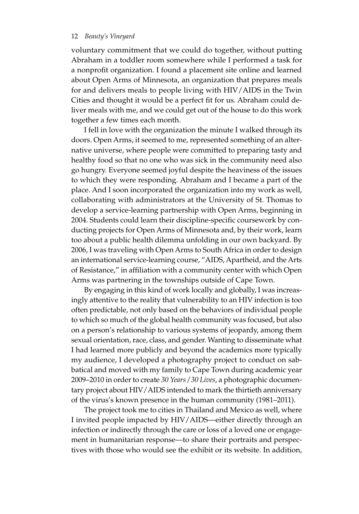#### 12 *Beauty's Vineyard*

voluntary commitment that we could do together, without putting Abraham in a toddler room somewhere while I performed a task for a nonprofit organization. I found a placement site online and learned about Open Arms of Minnesota, an organization that prepares meals for and delivers meals to people living with HIV/AIDS in the Twin Cities and thought it would be a perfect fit for us. Abraham could deliver meals with me, and we could get out of the house to do this work together a few times each month.

I fell in love with the organization the minute I walked through its doors. Open Arms, it seemed to me, represented something of an alternative universe, where people were committed to preparing tasty and healthy food so that no one who was sick in the community need also go hungry. Everyone seemed joyful despite the heaviness of the issues to which they were responding. Abraham and I became a part of the place. And I soon incorporated the organization into my work as well, collaborating with administrators at the University of St. Thomas to develop a service-learning partnership with Open Arms, beginning in 2004. Students could learn their discipline-specific coursework by conducting projects for Open Arms of Minnesota and, by their work, learn too about a public health dilemma unfolding in our own backyard. By 2006, I was traveling with Open Arms to South Africa in order to design an international service-learning course, "AIDS, Apartheid, and the Arts of Resistance," in affiliation with a community center with which Open Arms was partnering in the townships outside of Cape Town.

By engaging in this kind of work locally and globally, I was increasingly attentive to the reality that vulnerability to an HIV infection is too often predictable, not only based on the behaviors of individual people to which so much of the global health community was focused, but also on a person's relationship to various systems of jeopardy, among them sexual orientation, race, class, and gender. Wanting to disseminate what I had learned more publicly and beyond the academics more typically my audience, I developed a photography project to conduct on sabbatical and moved with my family to Cape Town during academic year 2009–2010 in order to create *30 Years / 30 Lives*, a photographic documentary project about HIV/AIDS intended to mark the thirtieth anniversary of the virus's known presence in the human community (1981–2011).

The project took me to cities in Thailand and Mexico as well, where I invited people impacted by HIV/AIDS—either directly through an infection or indirectly through the care or loss of a loved one or engagement in humanitarian response—to share their portraits and perspectives with those who would see the exhibit or its website. In addition,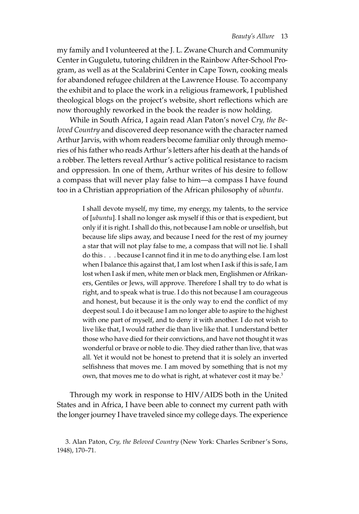my family and I volunteered at the J. L. Zwane Church and Community Center in Guguletu, tutoring children in the Rainbow After-School Program, as well as at the Scalabrini Center in Cape Town, cooking meals for abandoned refugee children at the Lawrence House. To accompany the exhibit and to place the work in a religious framework, I published theological blogs on the project's website, short reflections which are now thoroughly reworked in the book the reader is now holding.

While in South Africa, I again read Alan Paton's novel *Cry, the Beloved Country* and discovered deep resonance with the character named Arthur Jarvis, with whom readers become familiar only through memories of his father who reads Arthur's letters after his death at the hands of a robber. The letters reveal Arthur's active political resistance to racism and oppression. In one of them, Arthur writes of his desire to follow a compass that will never play false to him—a compass I have found too in a Christian appropriation of the African philosophy of *ubuntu*.

> I shall devote myself, my time, my energy, my talents, to the service of [*ubuntu*]. I shall no longer ask myself if this or that is expedient, but only if it is right. I shall do this, not because I am noble or unselfish, but because life slips away, and because I need for the rest of my journey a star that will not play false to me, a compass that will not lie. I shall do this . . . because I cannot find it in me to do anything else. I am lost when I balance this against that, I am lost when I ask if this is safe, I am lost when I ask if men, white men or black men, Englishmen or Afrikaners, Gentiles or Jews, will approve. Therefore I shall try to do what is right, and to speak what is true. I do this not because I am courageous and honest, but because it is the only way to end the conflict of my deepest soul. I do it because I am no longer able to aspire to the highest with one part of myself, and to deny it with another. I do not wish to live like that, I would rather die than live like that. I understand better those who have died for their convictions, and have not thought it was wonderful or brave or noble to die. They died rather than live, that was all. Yet it would not be honest to pretend that it is solely an inverted selfishness that moves me. I am moved by something that is not my own, that moves me to do what is right, at whatever cost it may be.<sup>3</sup>

Through my work in response to HIV/AIDS both in the United States and in Africa, I have been able to connect my current path with the longer journey I have traveled since my college days. The experience

<sup>3.</sup> Alan Paton, *Cry, the Beloved Country* (New York: Charles Scribner's Sons, 1948), 170–71.